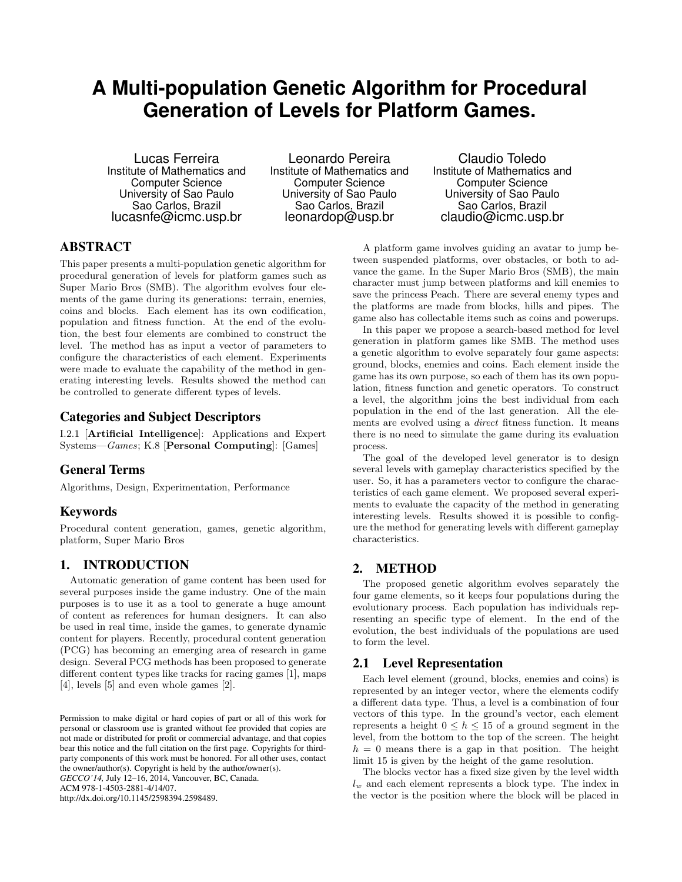# **A Multi-population Genetic Algorithm for Procedural Generation of Levels for Platform Games.**

Lucas Ferreira Institute of Mathematics and Computer Science University of Sao Paulo Sao Carlos, Brazil lucasnfe@icmc.usp.br

Leonardo Pereira Institute of Mathematics and Computer Science University of Sao Paulo Sao Carlos, Brazil leonardop@usp.br

Claudio Toledo Institute of Mathematics and Computer Science University of Sao Paulo Sao Carlos, Brazil claudio@icmc.usp.br

# ABSTRACT

This paper presents a multi-population genetic algorithm for procedural generation of levels for platform games such as Super Mario Bros (SMB). The algorithm evolves four elements of the game during its generations: terrain, enemies, coins and blocks. Each element has its own codification, population and fitness function. At the end of the evolution, the best four elements are combined to construct the level. The method has as input a vector of parameters to configure the characteristics of each element. Experiments were made to evaluate the capability of the method in generating interesting levels. Results showed the method can be controlled to generate different types of levels.

# Categories and Subject Descriptors

I.2.1 [Artificial Intelligence]: Applications and Expert Systems—Games; K.8 [Personal Computing]: [Games]

# General Terms

Algorithms, Design, Experimentation, Performance

# Keywords

Procedural content generation, games, genetic algorithm, platform, Super Mario Bros

## 1. INTRODUCTION

Automatic generation of game content has been used for several purposes inside the game industry. One of the main purposes is to use it as a tool to generate a huge amount of content as references for human designers. It can also be used in real time, inside the games, to generate dynamic content for players. Recently, procedural content generation (PCG) has becoming an emerging area of research in game design. Several PCG methods has been proposed to generate different content types like tracks for racing games [1], maps [4], levels [5] and even whole games [2].

*GECCO'14,* July 12–16, 2014, Vancouver, BC, Canada.

ACM 978-1-4503-2881-4/14/07.

http://dx.doi.org/10.1145/2598394.2598489.

A platform game involves guiding an avatar to jump between suspended platforms, over obstacles, or both to advance the game. In the Super Mario Bros (SMB), the main character must jump between platforms and kill enemies to save the princess Peach. There are several enemy types and the platforms are made from blocks, hills and pipes. The game also has collectable items such as coins and powerups.

In this paper we propose a search-based method for level generation in platform games like SMB. The method uses a genetic algorithm to evolve separately four game aspects: ground, blocks, enemies and coins. Each element inside the game has its own purpose, so each of them has its own population, fitness function and genetic operators. To construct a level, the algorithm joins the best individual from each population in the end of the last generation. All the elements are evolved using a direct fitness function. It means there is no need to simulate the game during its evaluation process.

The goal of the developed level generator is to design several levels with gameplay characteristics specified by the user. So, it has a parameters vector to configure the characteristics of each game element. We proposed several experiments to evaluate the capacity of the method in generating interesting levels. Results showed it is possible to configure the method for generating levels with different gameplay characteristics.

# 2. METHOD

The proposed genetic algorithm evolves separately the four game elements, so it keeps four populations during the evolutionary process. Each population has individuals representing an specific type of element. In the end of the evolution, the best individuals of the populations are used to form the level.

#### 2.1 Level Representation

Each level element (ground, blocks, enemies and coins) is represented by an integer vector, where the elements codify a different data type. Thus, a level is a combination of four vectors of this type. In the ground's vector, each element represents a height  $0 \leq h \leq 15$  of a ground segment in the level, from the bottom to the top of the screen. The height  $h = 0$  means there is a gap in that position. The height limit 15 is given by the height of the game resolution.

The blocks vector has a fixed size given by the level width  $l_w$  and each element represents a block type. The index in the vector is the position where the block will be placed in

Permission to make digital or hard copies of part or all of this work for personal or classroom use is granted without fee provided that copies are not made or distributed for profit or commercial advantage, and that copies bear this notice and the full citation on the first page. Copyrights for thirdparty components of this work must be honored. For all other uses, contact the owner/author(s). Copyright is held by the author/owner(s).